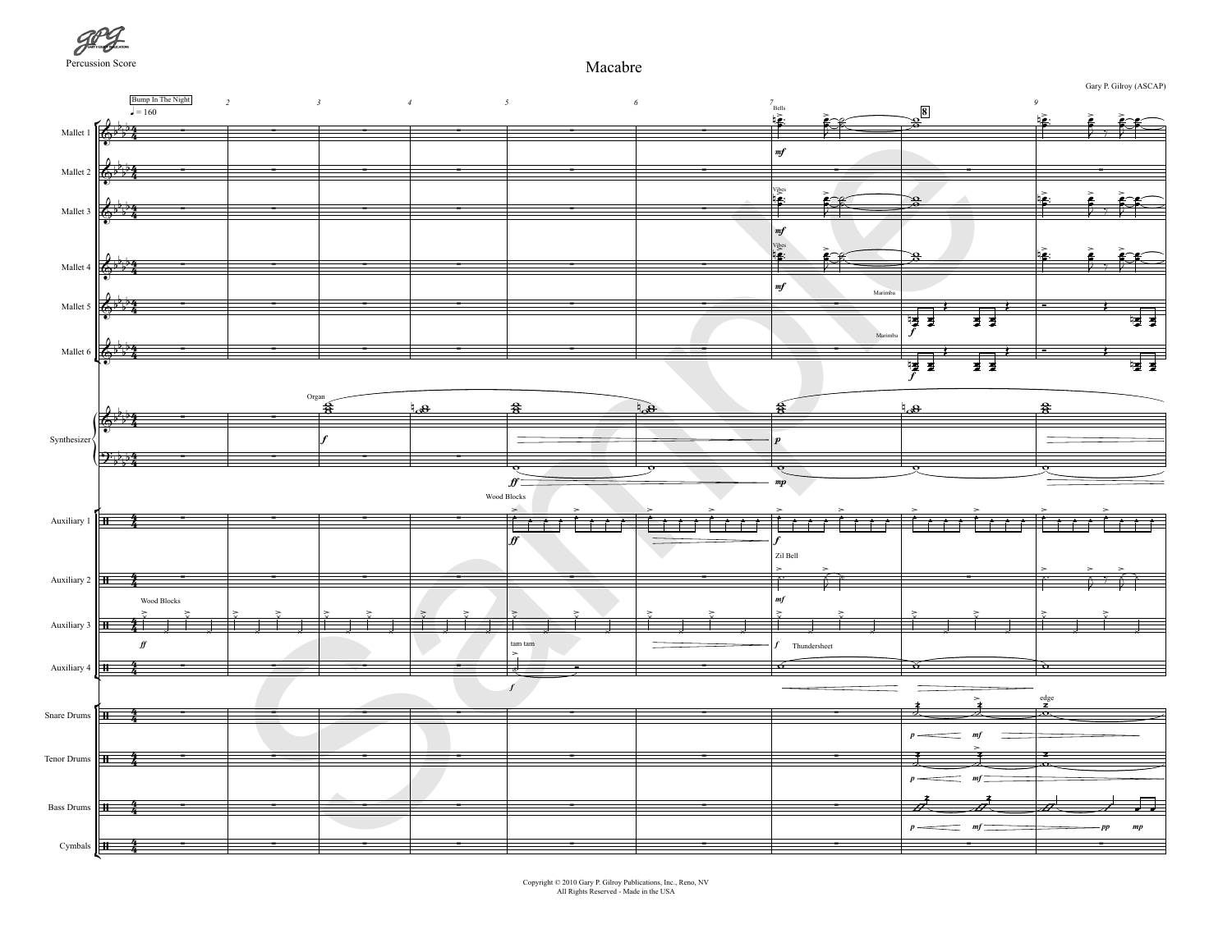$\mathscr{J}$ Percussion Score

Macabre



Copyright © 2010 Gary P. Gilroy Publications, Inc., Reno, NV All Rights Reserved - Made in the USA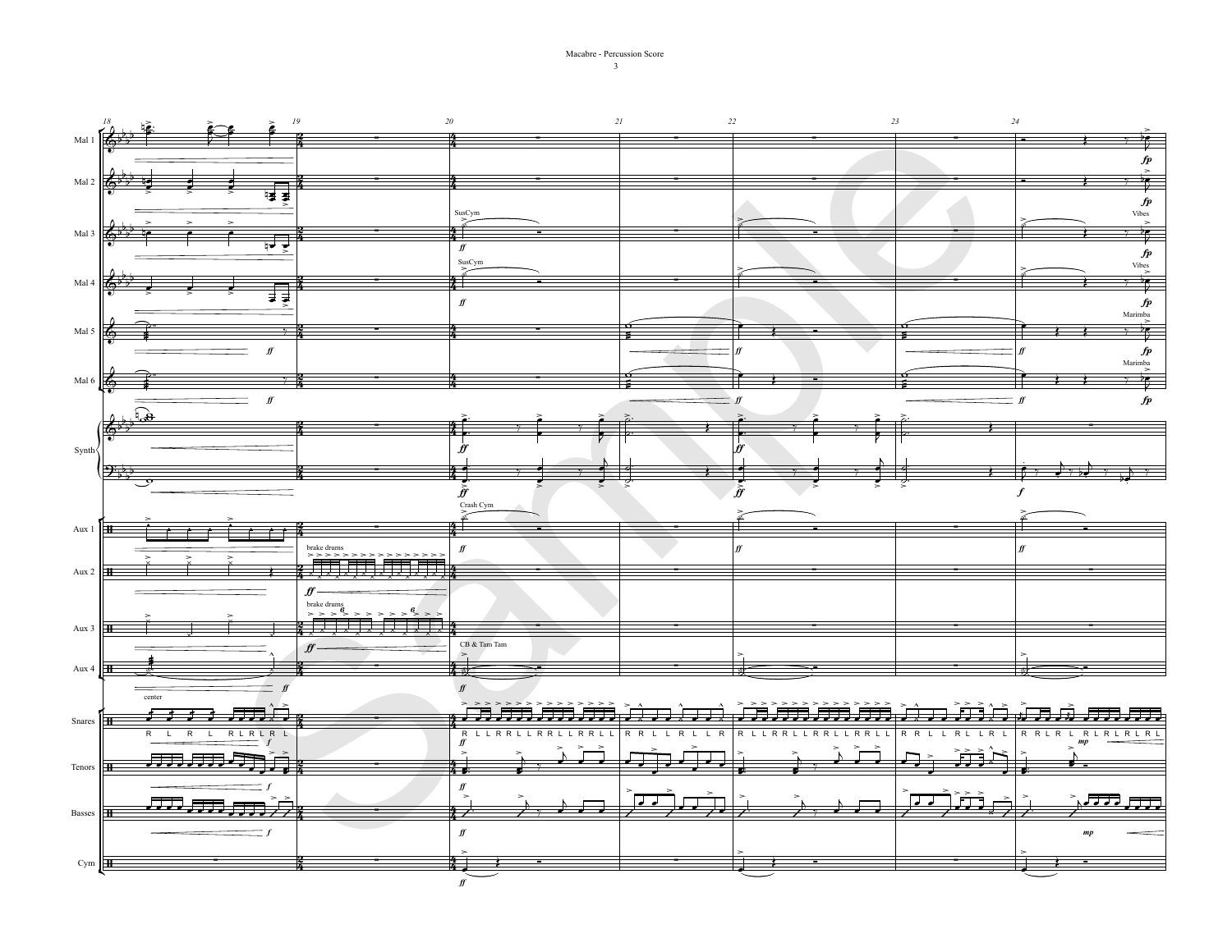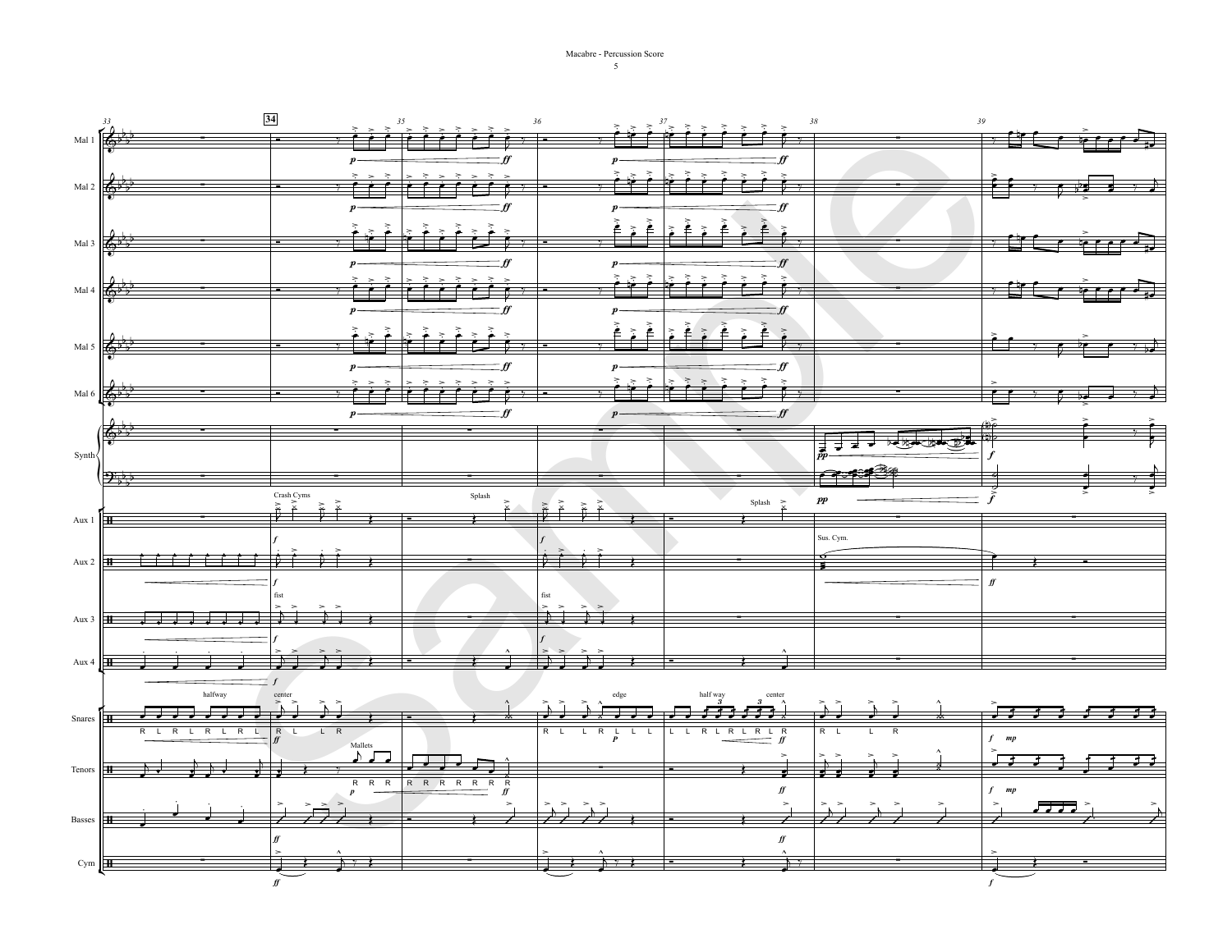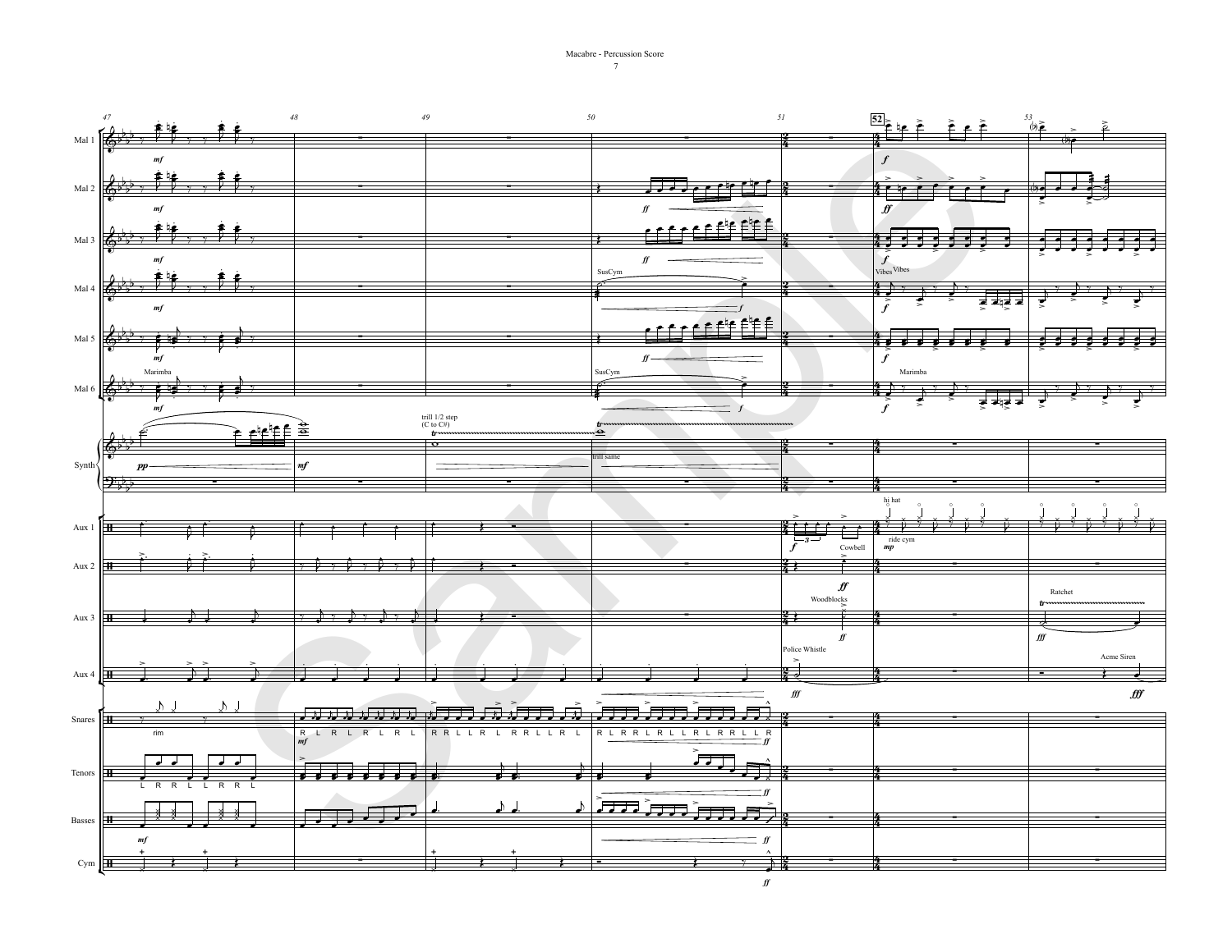

*ff*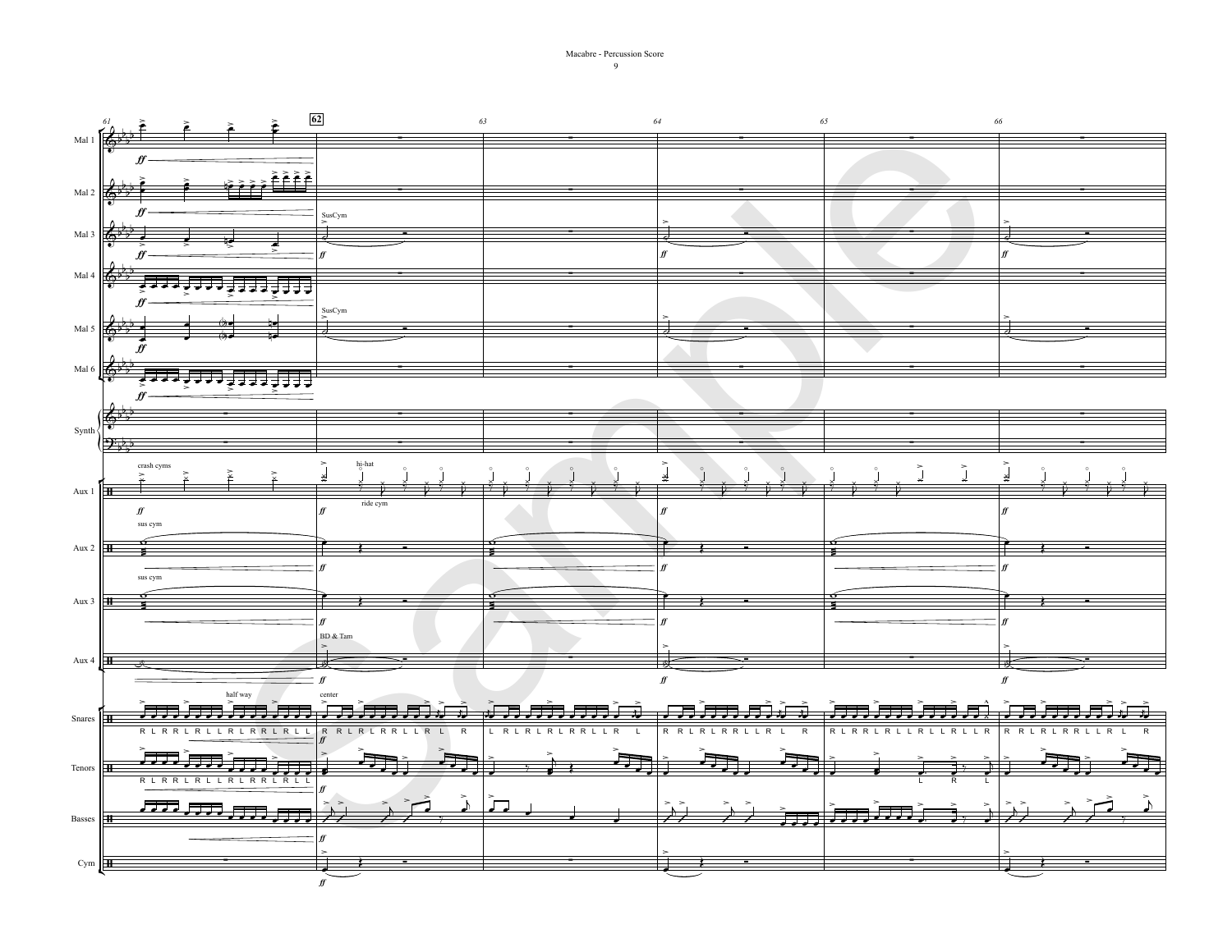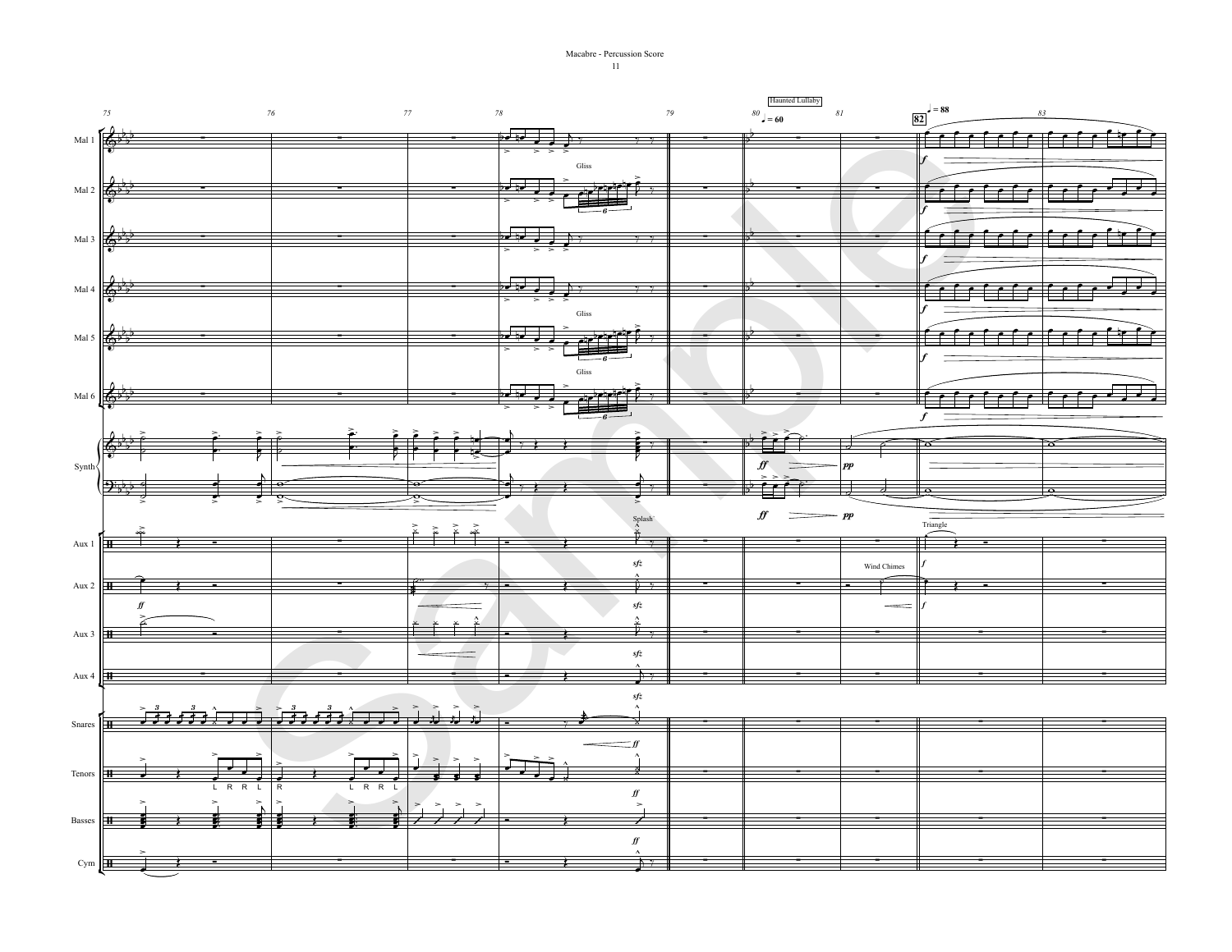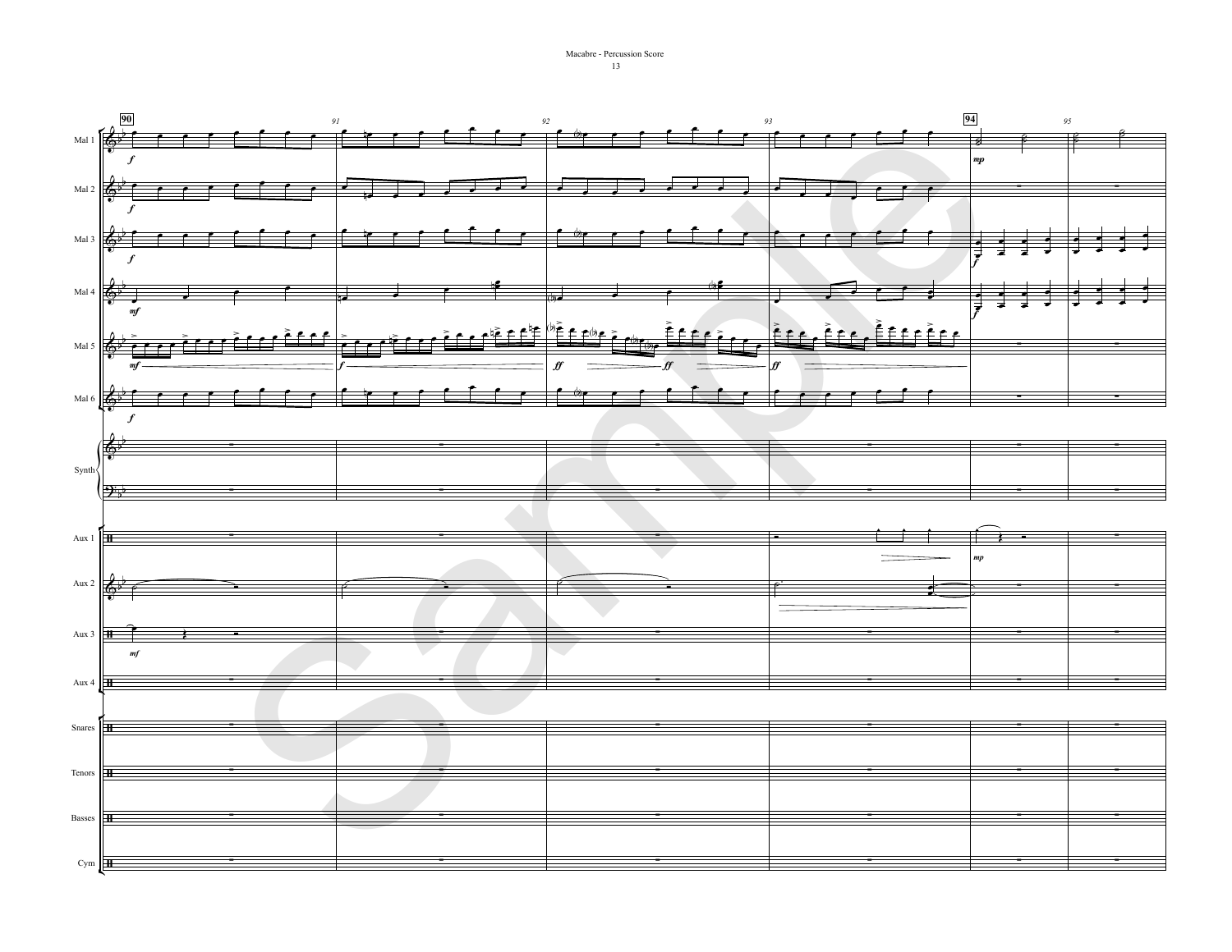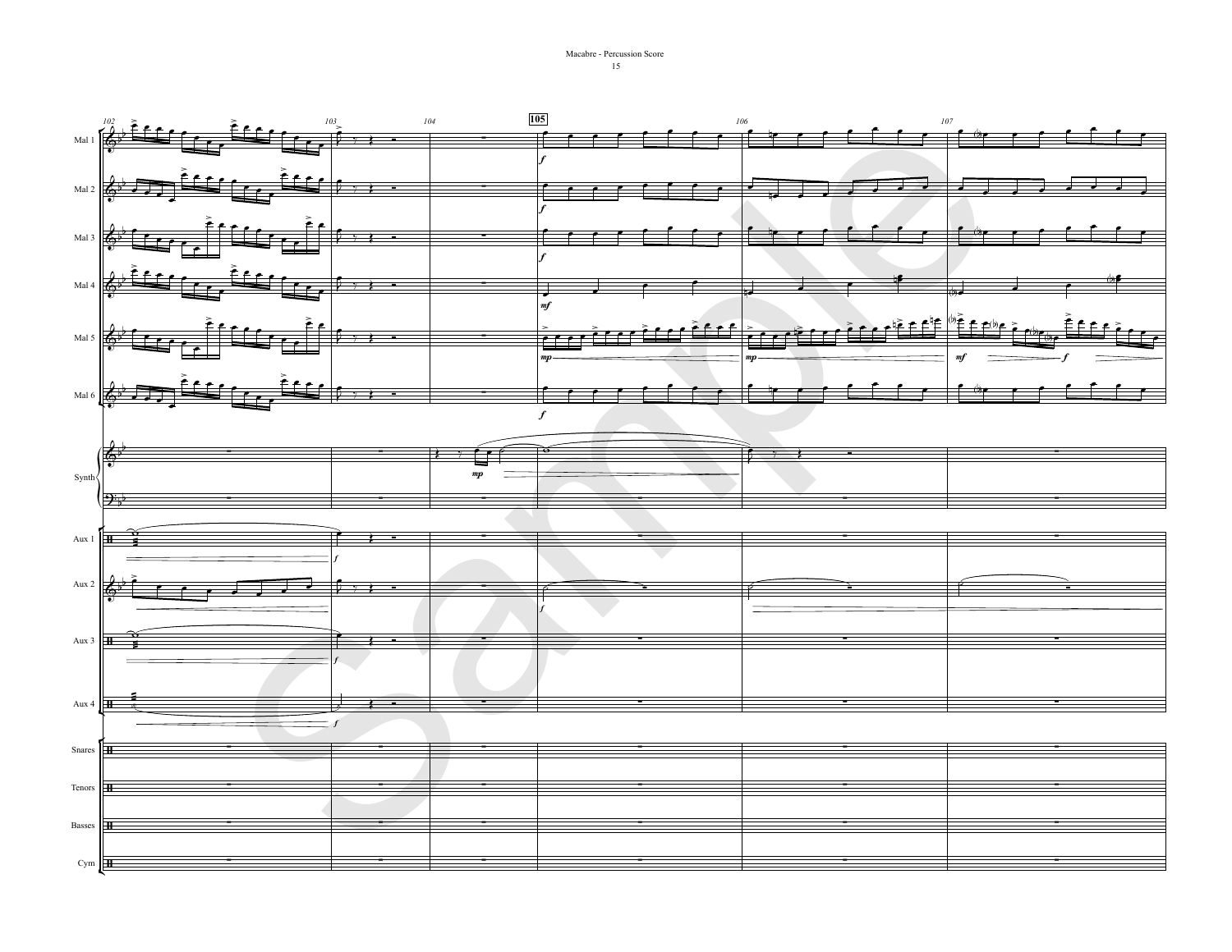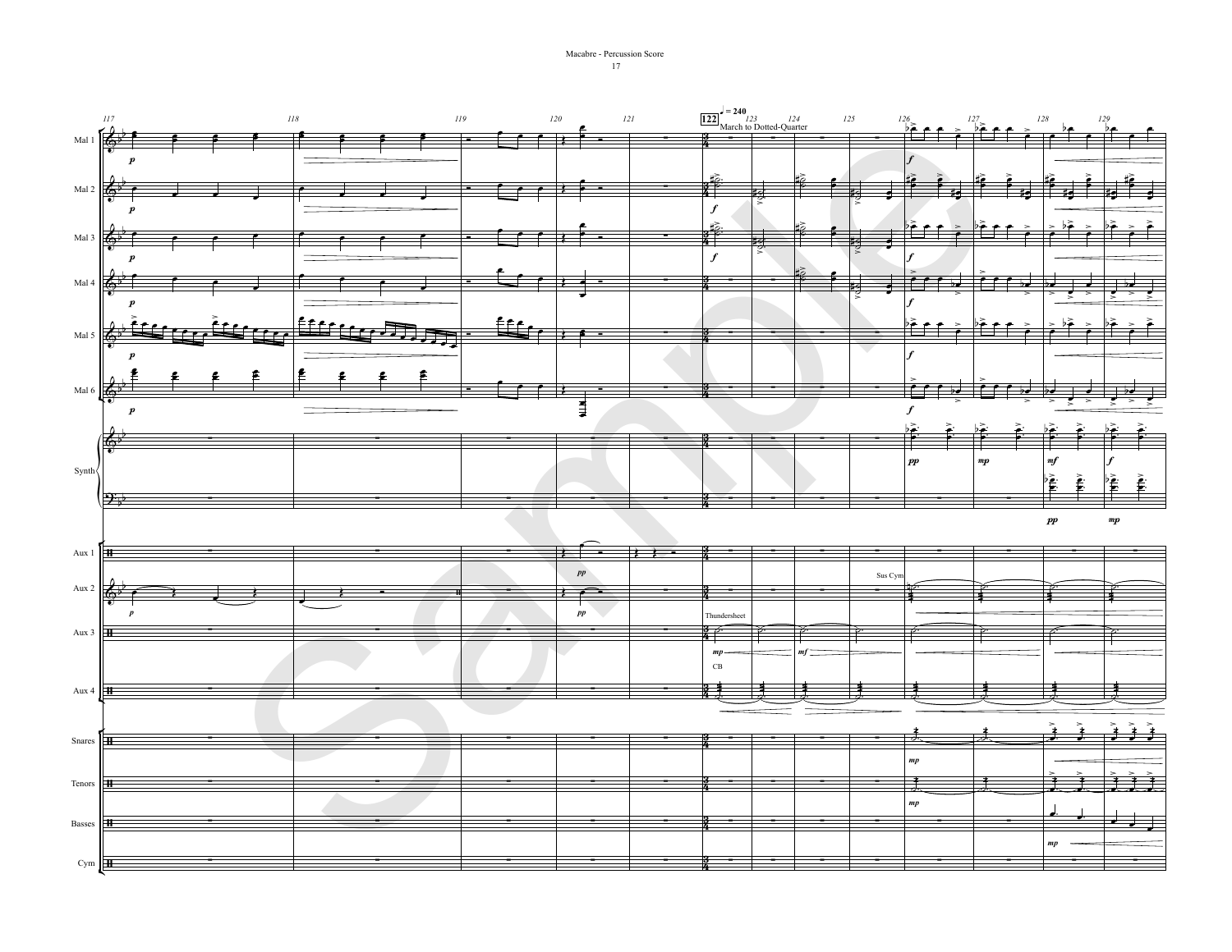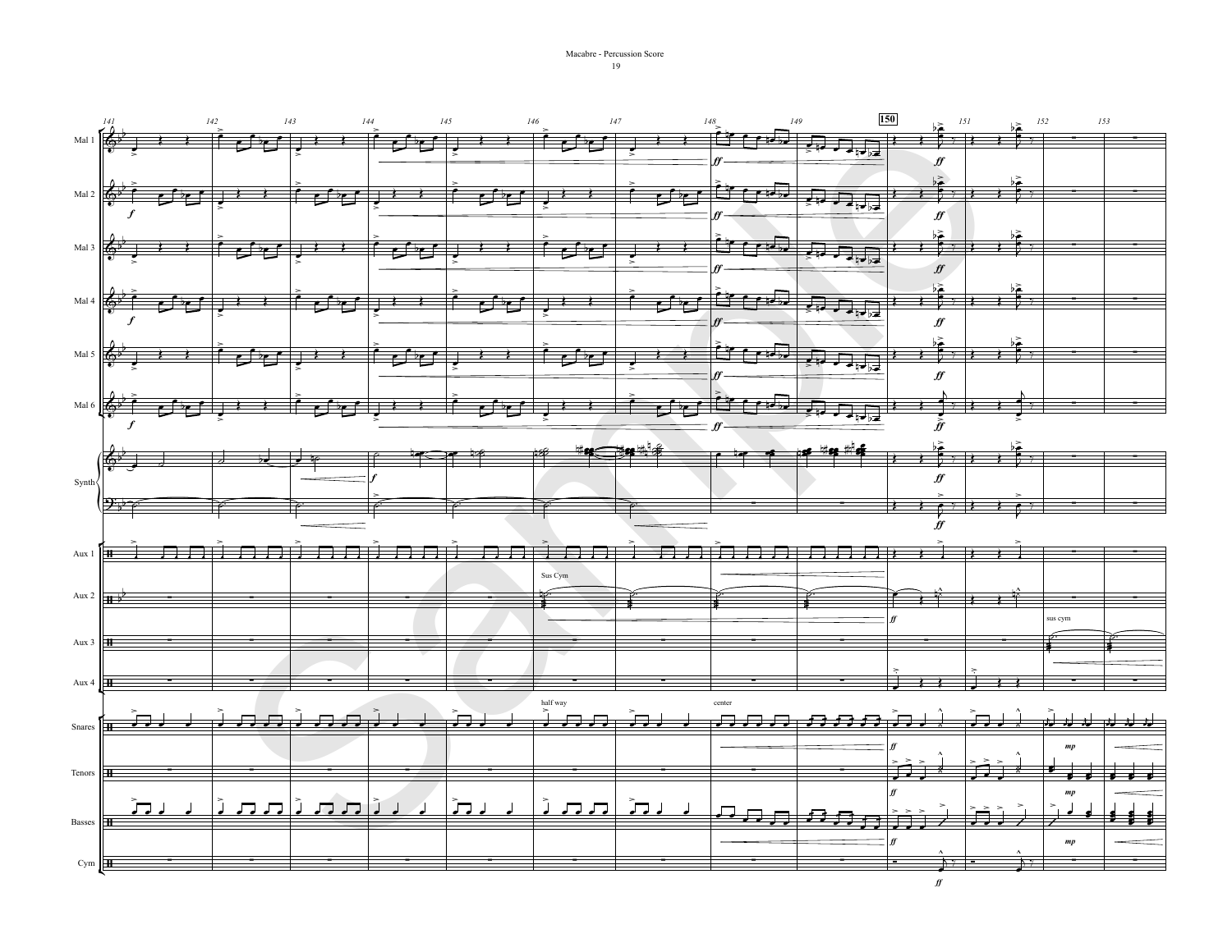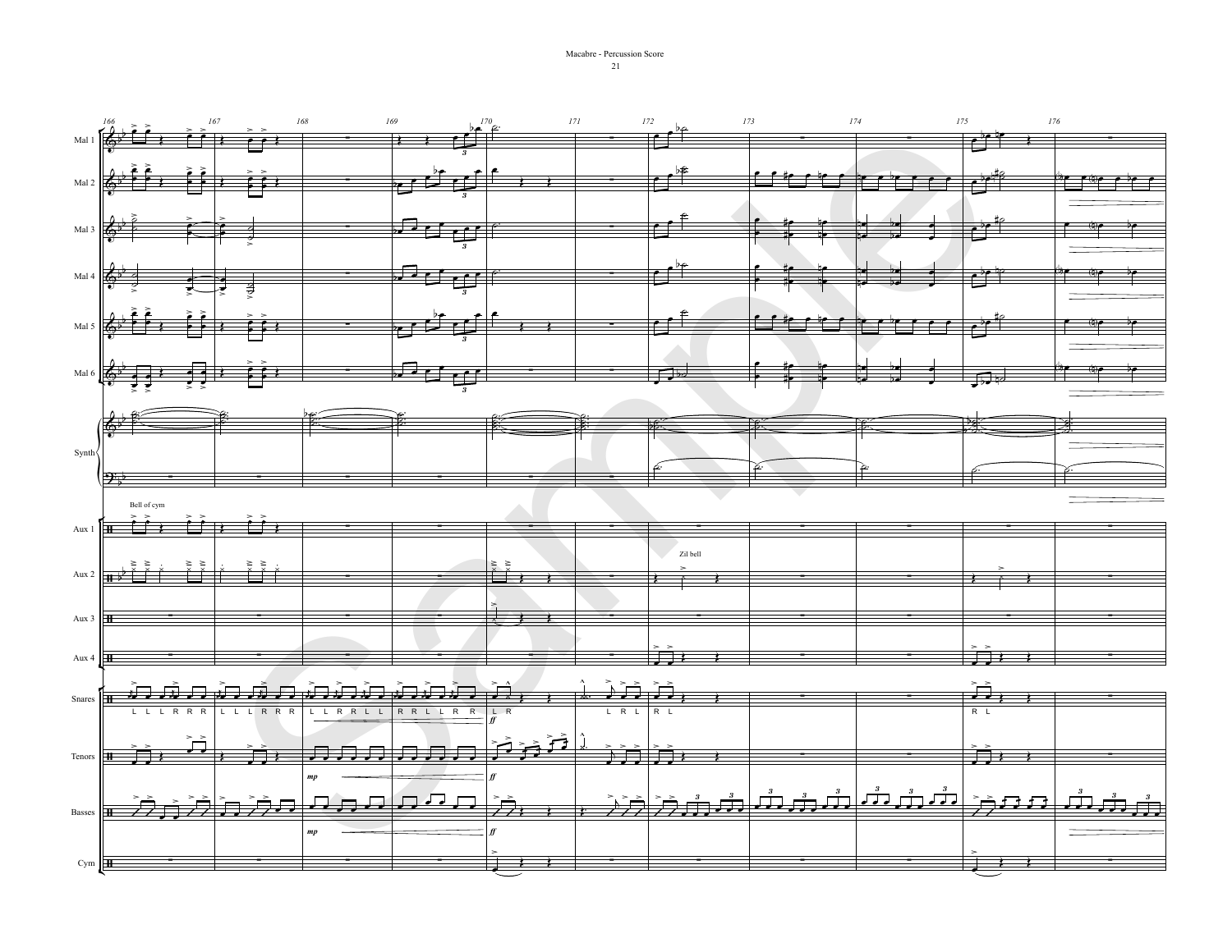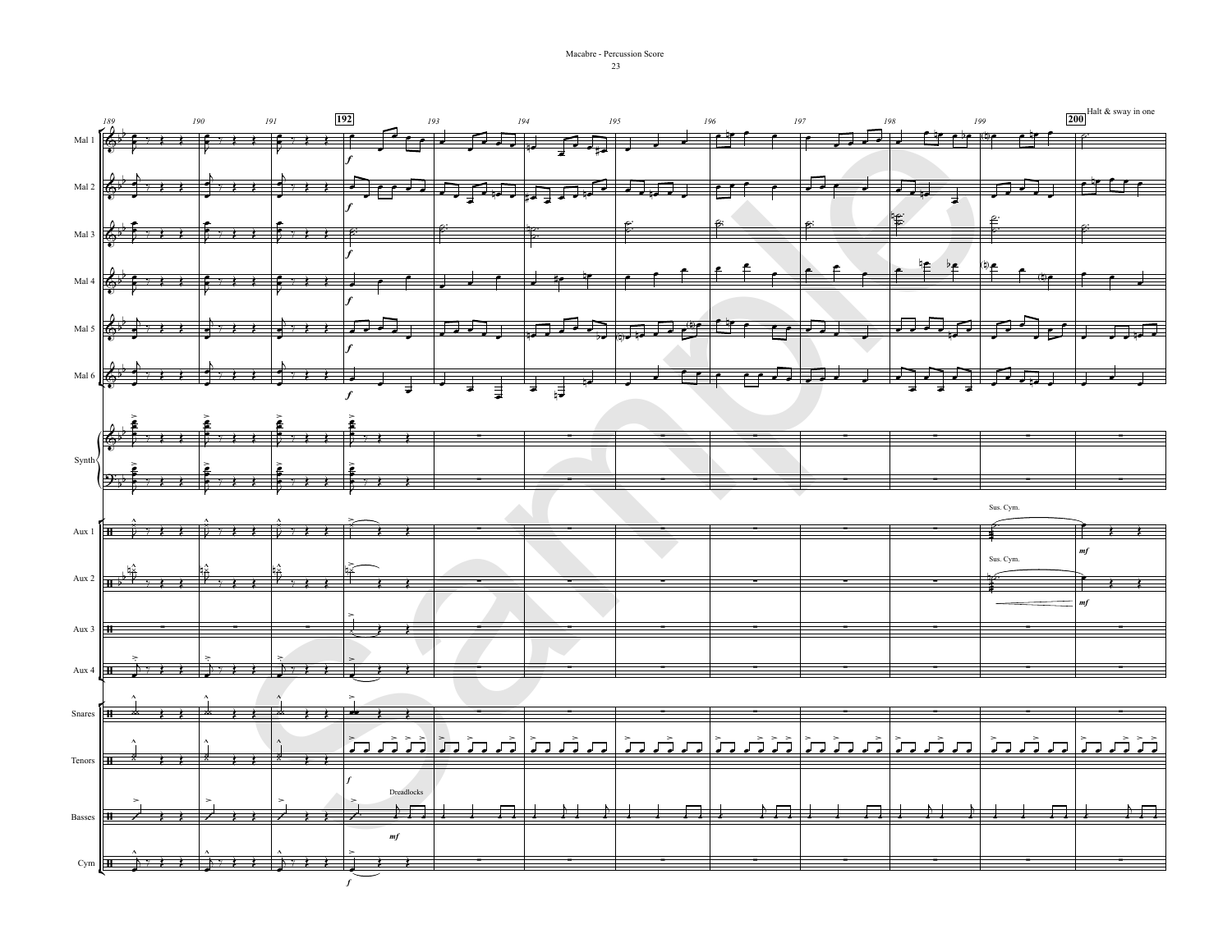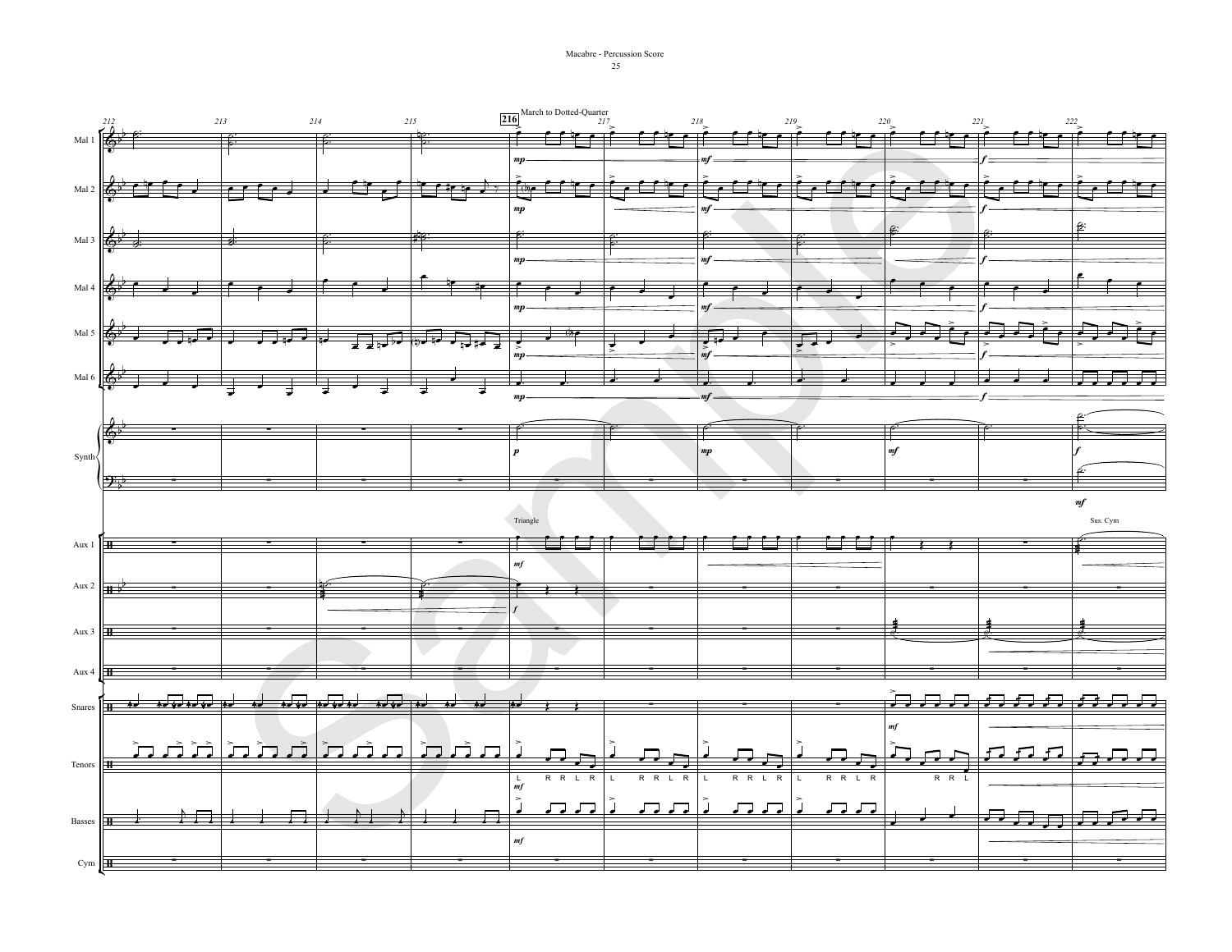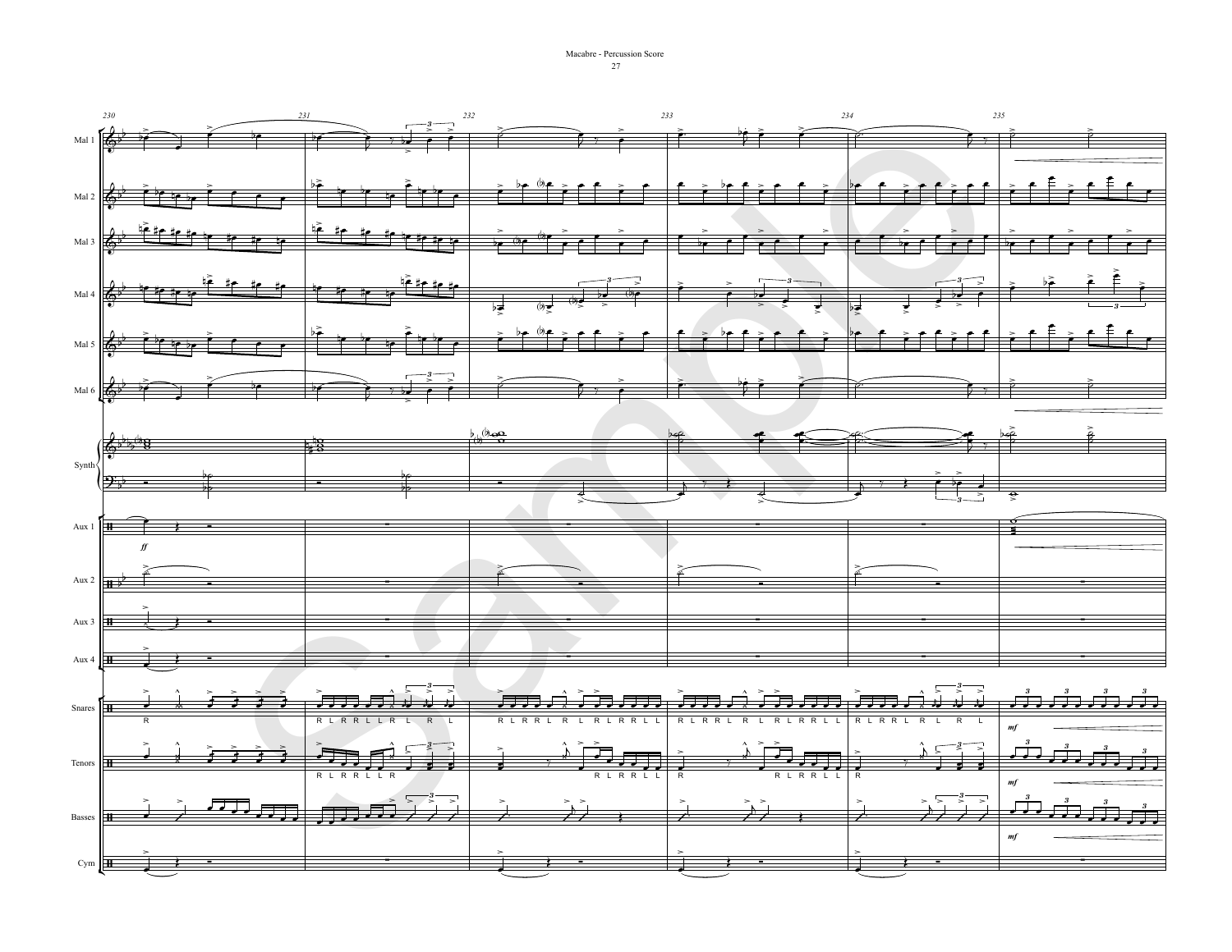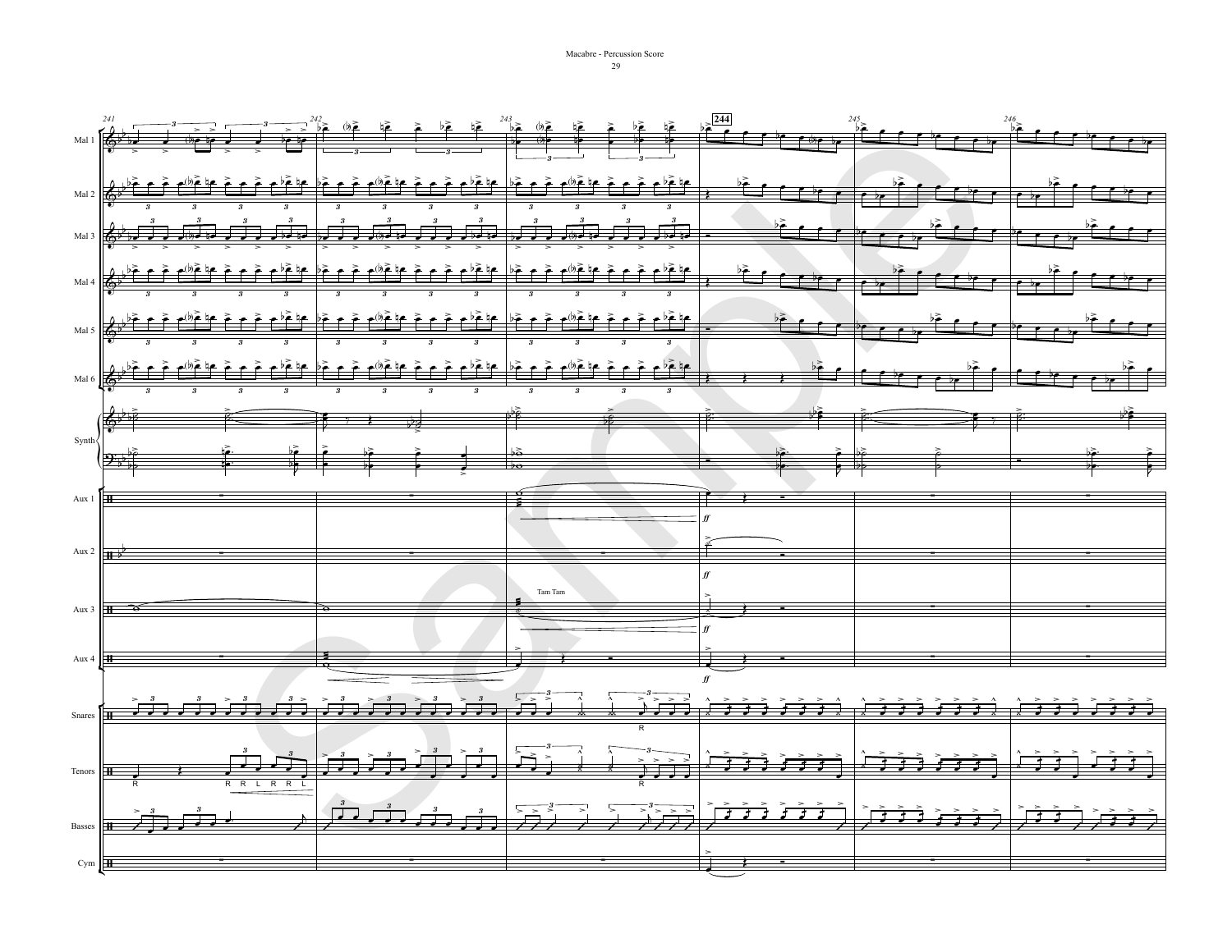